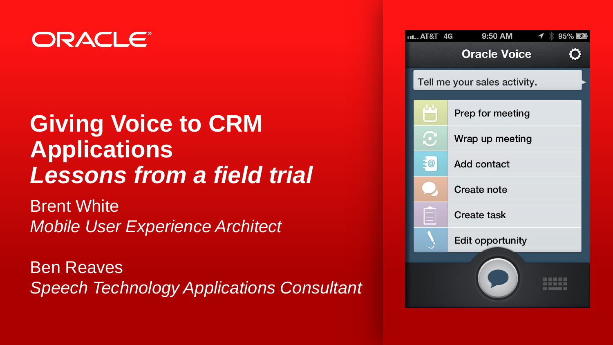### ORACLE®

### **Giving Voice to CRM Applications**  *Lessons from a field trial*

Brent White *Mobile User Experience Architect*

Ben Reaves *Speech Technology Applications Consultant*

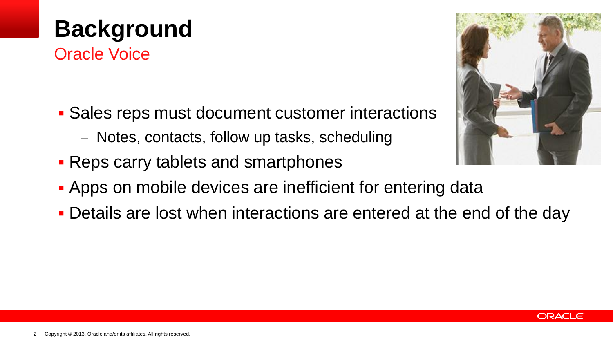### 2 | Copyright © 2013, Oracle and/or its affiliates. All rights reserved.

# **Background**

Oracle Voice

- **Sales reps must document customer interactions** 
	- Notes, contacts, follow up tasks, scheduling
- **Reps carry tablets and smartphones**
- **Apps on mobile devices are inefficient for entering data**
- Details are lost when interactions are entered at the end of the day



ORACLE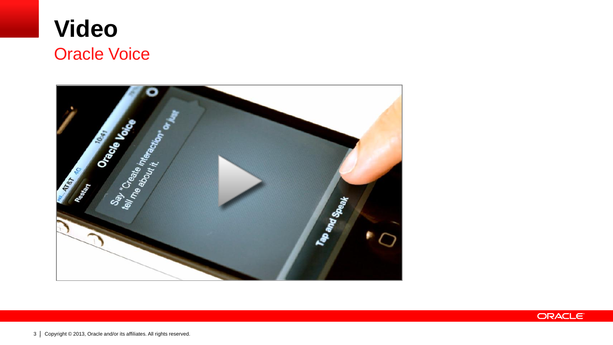

# Oracus Maria Say Create International **READER** Ready The and Street

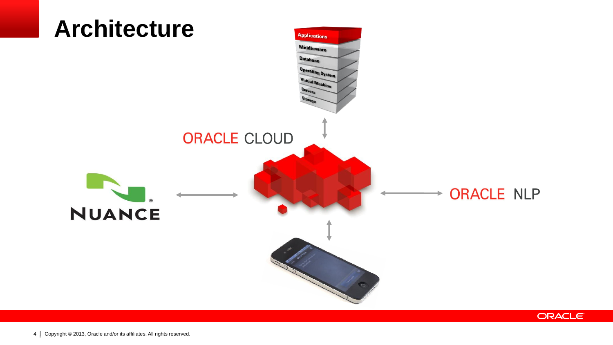

**ORACLE**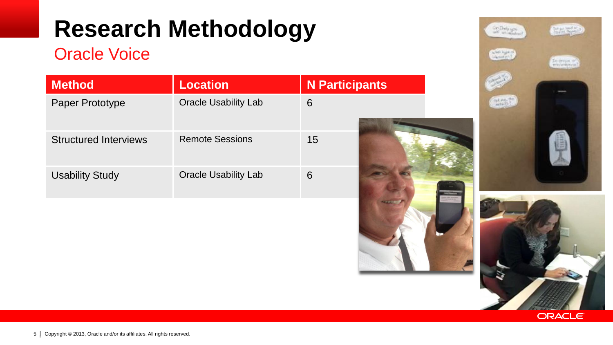### **Research Methodology**

#### Oracle Voice

| <b>Method</b>                | <b>Location</b>             | <b>N</b> Participants |
|------------------------------|-----------------------------|-----------------------|
| Paper Prototype              | <b>Oracle Usability Lab</b> | 6                     |
| <b>Structured Interviews</b> | <b>Remote Sessions</b>      | 15                    |
| <b>Usability Study</b>       | <b>Oracle Usability Lab</b> | 6                     |







**State** 

Engineer of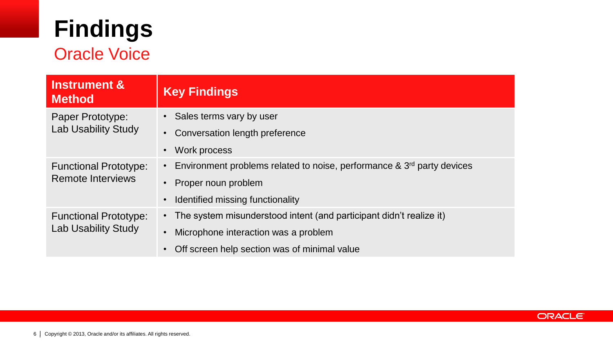# **Findings**

### Oracle Voice

| <b>Instrument &amp;</b><br><b>Method</b>                 | <b>Key Findings</b>                                                                |  |
|----------------------------------------------------------|------------------------------------------------------------------------------------|--|
| Paper Prototype:<br><b>Lab Usability Study</b>           | Sales terms vary by user                                                           |  |
|                                                          | Conversation length preference                                                     |  |
|                                                          | Work process                                                                       |  |
| <b>Functional Prototype:</b><br><b>Remote Interviews</b> | Environment problems related to noise, performance & 3 <sup>rd</sup> party devices |  |
|                                                          | Proper noun problem                                                                |  |
|                                                          | Identified missing functionality                                                   |  |
| <b>Functional Prototype:</b><br>Lab Usability Study      | The system misunderstood intent (and participant didn't realize it)                |  |
|                                                          | Microphone interaction was a problem                                               |  |
|                                                          | Off screen help section was of minimal value                                       |  |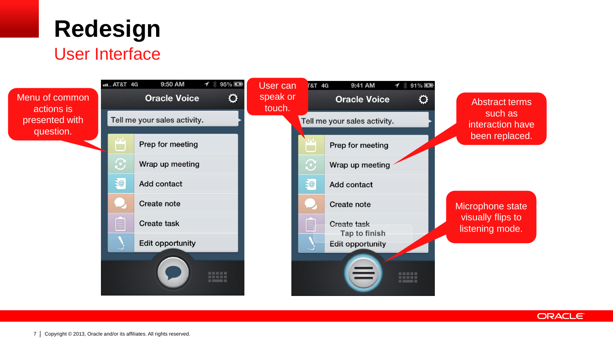

#### User Interface

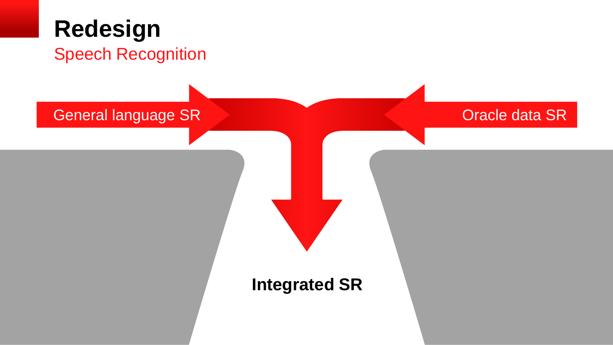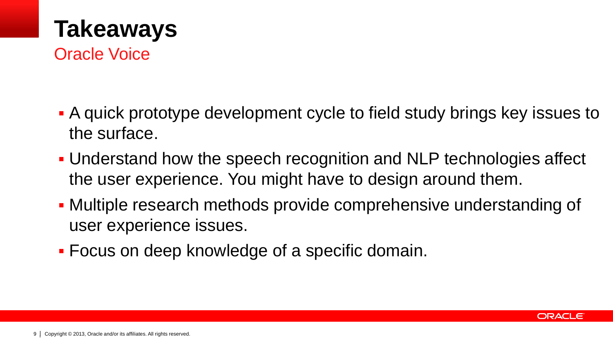

Oracle Voice

- A quick prototype development cycle to field study brings key issues to the surface.
- Understand how the speech recognition and NLP technologies affect the user experience. You might have to design around them.
- Multiple research methods provide comprehensive understanding of user experience issues.
- Focus on deep knowledge of a specific domain.